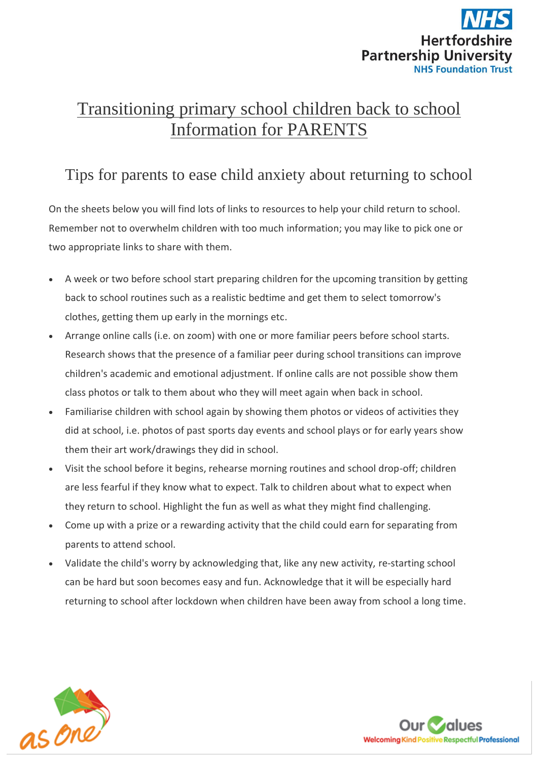

# Transitioning primary school children back to school Information for PARENTS

# Tips for parents to ease child anxiety about returning to school

On the sheets below you will find lots of links to resources to help your child return to school. Remember not to overwhelm children with too much information; you may like to pick one or two appropriate links to share with them.

- A week or two before school start preparing children for the upcoming transition by getting back to school routines such as a realistic bedtime and get them to select tomorrow's clothes, getting them up early in the mornings etc.
- Arrange online calls (i.e. on zoom) with one or more familiar peers before school starts. Research shows that the presence of a familiar peer during school transitions can improve children's academic and emotional adjustment. If online calls are not possible show them class photos or talk to them about who they will meet again when back in school.
- Familiarise children with school again by showing them photos or videos of activities they did at school, i.e. photos of past sports day events and school plays or for early years show them their art work/drawings they did in school.
- Visit the school before it begins, rehearse morning routines and school drop-off; children are less fearful if they know what to expect. Talk to children about what to expect when they return to school. Highlight the fun as well as what they might find challenging.
- Come up with a prize or a rewarding activity that the child could earn for separating from parents to attend school.
- Validate the child's worry by acknowledging that, like any new activity, re-starting school can be hard but soon becomes easy and fun. Acknowledge that it will be especially hard returning to school after lockdown when children have been away from school a long time.



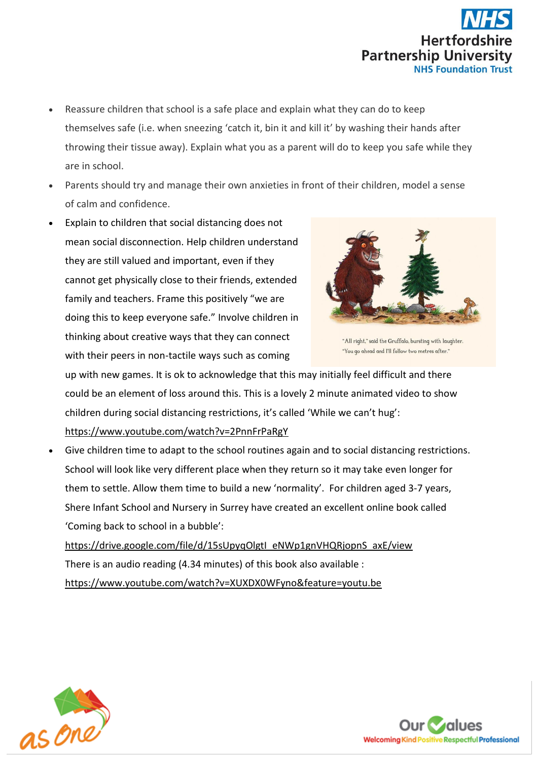

- Reassure children that school is a safe place and explain what they can do to keep themselves safe (i.e. when sneezing 'catch it, bin it and kill it' by washing their hands after throwing their tissue away). Explain what you as a parent will do to keep you safe while they are in school.
- Parents should try and manage their own anxieties in front of their children, model a sense of calm and confidence.
- Explain to children that social distancing does not mean social disconnection. Help children understand they are still valued and important, even if they cannot get physically close to their friends, extended family and teachers. Frame this positively "we are doing this to keep everyone safe." Involve children in thinking about creative ways that they can connect with their peers in non-tactile ways such as coming



"All right," said the Gruffalo, bursting with laughter. "You go ahead and I'll follow two metres after."

up with new games. It is ok to acknowledge that this may initially feel difficult and there could be an element of loss around this. This is a lovely 2 minute animated video to show children during social distancing restrictions, it's called 'While we can't hug':

<https://www.youtube.com/watch?v=2PnnFrPaRgY>

 Give children time to adapt to the school routines again and to social distancing restrictions. School will look like very different place when they return so it may take even longer for them to settle. Allow them time to build a new 'normality'. For children aged 3-7 years, Shere Infant School and Nursery in Surrey have created an excellent online book called 'Coming back to school in a bubble':

[https://drive.google.com/file/d/15sUpyqOlgtI\\_eNWp1gnVHQRjopnS\\_axE/view](https://drive.google.com/file/d/15sUpyqOlgtI_eNWp1gnVHQRjopnS_axE/view) There is an audio reading (4.34 minutes) of this book also available : <https://www.youtube.com/watch?v=XUXDX0WFyno&feature=youtu.be>



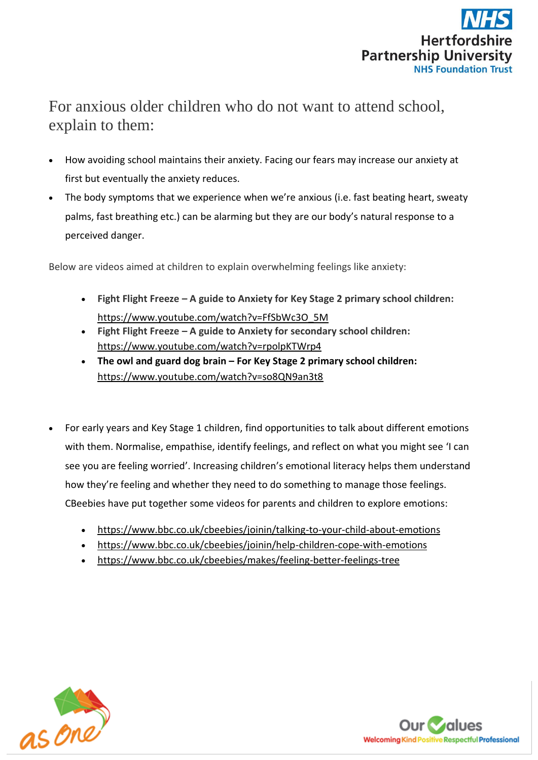

# For anxious older children who do not want to attend school, explain to them:

- How avoiding school maintains their anxiety. Facing our fears may increase our anxiety at first but eventually the anxiety reduces.
- The body symptoms that we experience when we're anxious (i.e. fast beating heart, sweaty palms, fast breathing etc.) can be alarming but they are our body's natural response to a perceived danger.

Below are videos aimed at children to explain overwhelming feelings like anxiety:

- **Fight Flight Freeze – A guide to Anxiety for Key Stage 2 primary school children:** [https://www.youtube.com/watch?v=FfSbWc3O\\_5M](https://www.youtube.com/watch?v=FfSbWc3O_5M)
- **Fight Flight Freeze – A guide to Anxiety for secondary school children:** <https://www.youtube.com/watch?v=rpolpKTWrp4>
- **The owl and guard dog brain – For Key Stage 2 primary school children:**  <https://www.youtube.com/watch?v=so8QN9an3t8>
- For early years and Key Stage 1 children, find opportunities to talk about different emotions with them. Normalise, empathise, identify feelings, and reflect on what you might see 'I can see you are feeling worried'. Increasing children's emotional literacy helps them understand how they're feeling and whether they need to do something to manage those feelings. CBeebies have put together some videos for parents and children to explore emotions:
	- <https://www.bbc.co.uk/cbeebies/joinin/talking-to-your-child-about-emotions>
	- <https://www.bbc.co.uk/cbeebies/joinin/help-children-cope-with-emotions>
	- https://www.bbc.co.uk/cbeebies/makes/feeling-better-feelings-tree



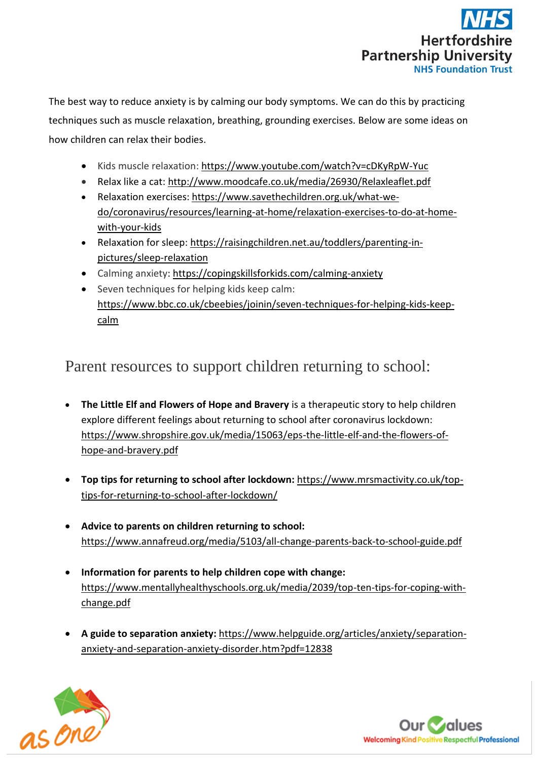

The best way to reduce anxiety is by calming our body symptoms. We can do this by practicing techniques such as muscle relaxation, breathing, grounding exercises. Below are some ideas on how children can relax their bodies.

- Kids muscle relaxation: <https://www.youtube.com/watch?v=cDKyRpW-Yuc>
- Relax like a cat:<http://www.moodcafe.co.uk/media/26930/Relaxleaflet.pdf>
- Relaxation exercises: [https://www.savethechildren.org.uk/what-we](https://www.savethechildren.org.uk/what-we-do/coronavirus/resources/learning-at-home/relaxation-exercises-to-do-at-home-with-your-kids)[do/coronavirus/resources/learning-at-home/relaxation-exercises-to-do-at-home](https://www.savethechildren.org.uk/what-we-do/coronavirus/resources/learning-at-home/relaxation-exercises-to-do-at-home-with-your-kids)[with-your-kids](https://www.savethechildren.org.uk/what-we-do/coronavirus/resources/learning-at-home/relaxation-exercises-to-do-at-home-with-your-kids)
- Relaxation for sleep: [https://raisingchildren.net.au/toddlers/parenting-in](https://raisingchildren.net.au/toddlers/parenting-in-pictures/sleep-relaxation)[pictures/sleep-relaxation](https://raisingchildren.net.au/toddlers/parenting-in-pictures/sleep-relaxation)
- Calming anxiety: <https://copingskillsforkids.com/calming-anxiety>
- Seven techniques for helping kids keep calm: https://www.bbc.co.uk/cbeebies/joinin/seven-techniques-for-helping-kids-keepcalm

#### Parent resources to support children returning to school:

- **The Little Elf and Flowers of Hope and Bravery** is a therapeutic story to help children explore different feelings about returning to school after coronavirus lockdown: [https://www.shropshire.gov.uk/media/15063/eps-the-little-elf-and-the-flowers-of](https://www.shropshire.gov.uk/media/15063/eps-the-little-elf-and-the-flowers-of-hope-and-bravery.pdf)[hope-and-bravery.pdf](https://www.shropshire.gov.uk/media/15063/eps-the-little-elf-and-the-flowers-of-hope-and-bravery.pdf)
- **Top tips for returning to school after lockdown:** [https://www.mrsmactivity.co.uk/top](https://www.mrsmactivity.co.uk/top-tips-for-returning-to-school-after-lockdown/)[tips-for-returning-to-school-after-lockdown/](https://www.mrsmactivity.co.uk/top-tips-for-returning-to-school-after-lockdown/)
- **Advice to parents on children returning to school:** <https://www.annafreud.org/media/5103/all-change-parents-back-to-school-guide.pdf>
- **Information for parents to help children cope with change:** [https://www.mentallyhealthyschools.org.uk/media/2039/top-ten-tips-for-coping-with](https://www.mentallyhealthyschools.org.uk/media/2039/top-ten-tips-for-coping-with-change.pdf)[change.pdf](https://www.mentallyhealthyschools.org.uk/media/2039/top-ten-tips-for-coping-with-change.pdf)
- **A guide to separation anxiety:** [https://www.helpguide.org/articles/anxiety/separation](https://www.helpguide.org/articles/anxiety/separation-anxiety-and-separation-anxiety-disorder.htm?pdf=12838)[anxiety-and-separation-anxiety-disorder.htm?pdf=12838](https://www.helpguide.org/articles/anxiety/separation-anxiety-and-separation-anxiety-disorder.htm?pdf=12838)



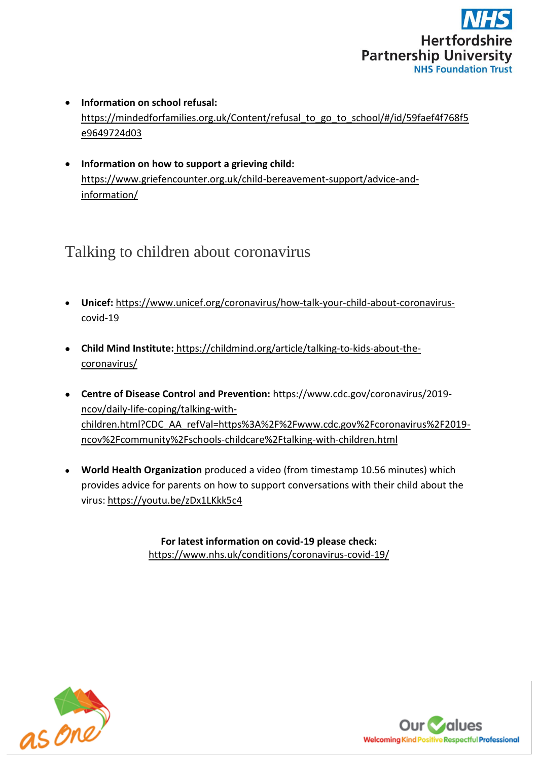

- **Information on school refusal:**  [https://mindedforfamilies.org.uk/Content/refusal\\_to\\_go\\_to\\_school/#/id/59faef4f768f5](https://mindedforfamilies.org.uk/Content/refusal_to_go_to_school/#/id/59faef4f768f5e9649724d03) [e9649724d03](https://mindedforfamilies.org.uk/Content/refusal_to_go_to_school/#/id/59faef4f768f5e9649724d03)
- **Information on how to support a grieving child:** https://www.griefencounter.org.uk/child-bereavement-support/advice-andinformation/

#### Talking to children about coronavirus

- **Unicef:** [https://www.unicef.org/coronavirus/how-talk-your-child-about-coronavirus](https://www.unicef.org/coronavirus/how-talk-your-child-about-coronavirus-covid-19)[covid-19](https://www.unicef.org/coronavirus/how-talk-your-child-about-coronavirus-covid-19)
- **Child Mind Institute:** [https://childmind.org/article/talking-to-kids-about-the](https://childmind.org/article/talking-to-kids-about-the-coronavirus/)[coronavirus/](https://childmind.org/article/talking-to-kids-about-the-coronavirus/)
- **Centre of Disease Control and Prevention:** [https://www.cdc.gov/coronavirus/2019](https://www.cdc.gov/coronavirus/2019-ncov/daily-life-coping/talking-with-children.html?CDC_AA_refVal=https%3A%2F%2Fwww.cdc.gov%2Fcoronavirus%2F2019-ncov%2Fcommunity%2Fschools-childcare%2Ftalking-with-children.html) [ncov/daily-life-coping/talking-with](https://www.cdc.gov/coronavirus/2019-ncov/daily-life-coping/talking-with-children.html?CDC_AA_refVal=https%3A%2F%2Fwww.cdc.gov%2Fcoronavirus%2F2019-ncov%2Fcommunity%2Fschools-childcare%2Ftalking-with-children.html)[children.html?CDC\\_AA\\_refVal=https%3A%2F%2Fwww.cdc.gov%2Fcoronavirus%2F2019](https://www.cdc.gov/coronavirus/2019-ncov/daily-life-coping/talking-with-children.html?CDC_AA_refVal=https%3A%2F%2Fwww.cdc.gov%2Fcoronavirus%2F2019-ncov%2Fcommunity%2Fschools-childcare%2Ftalking-with-children.html) [ncov%2Fcommunity%2Fschools-childcare%2Ftalking-with-children.html](https://www.cdc.gov/coronavirus/2019-ncov/daily-life-coping/talking-with-children.html?CDC_AA_refVal=https%3A%2F%2Fwww.cdc.gov%2Fcoronavirus%2F2019-ncov%2Fcommunity%2Fschools-childcare%2Ftalking-with-children.html)
- **World Health Organization** produced a video (from timestamp 10.56 minutes) which provides advice for parents on how to support conversations with their child about the virus: <https://youtu.be/zDx1LKkk5c4>

**For latest information on covid-19 please check:** <https://www.nhs.uk/conditions/coronavirus-covid-19/>